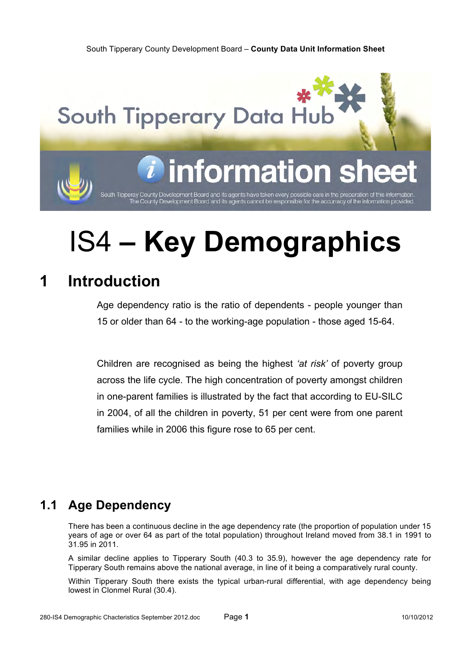**South Tipperary Data Hu** 

# formati

South Tipperay County Development Board and its agents have taken every possible care in the preparation of this information<br>The County Development Board and its agents cannot be responsible for the accurracy of the inform

# IS4 **– Key Demographics**

## **1 Introduction**

Age dependency ratio is the ratio of dependents - people younger than 15 or older than 64 - to the working-age population - those aged 15-64.

Children are recognised as being the highest *'at risk'* of poverty group across the life cycle. The high concentration of poverty amongst children in one-parent families is illustrated by the fact that according to EU-SILC in 2004, of all the children in poverty, 51 per cent were from one parent families while in 2006 this figure rose to 65 per cent.

### **1.1 Age Dependency**

There has been a continuous decline in the age dependency rate (the proportion of population under 15 years of age or over 64 as part of the total population) throughout Ireland moved from 38.1 in 1991 to 31.95 in 2011.

A similar decline applies to Tipperary South (40.3 to 35.9), however the age dependency rate for Tipperary South remains above the national average, in line of it being a comparatively rural county.

Within Tipperary South there exists the typical urban-rural differential, with age dependency being lowest in Clonmel Rural (30.4).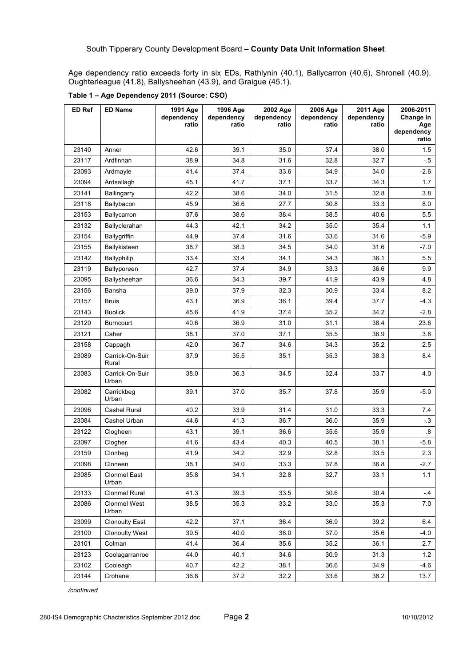Age dependency ratio exceeds forty in six EDs, Rathlynin (40.1), Ballycarron (40.6), Shronell (40.9), Oughterleague (41.8), Ballysheehan (43.9), and Graigue (45.1).

| ED Ref | <b>ED Name</b>               | 1991 Age<br>dependency<br>ratio | 1996 Age<br>dependency<br>ratio | 2002 Age<br>dependency<br>ratio | 2006 Age<br>dependency<br>ratio | 2011 Age<br>dependency<br>ratio | 2006-2011<br>Change in<br>Age |
|--------|------------------------------|---------------------------------|---------------------------------|---------------------------------|---------------------------------|---------------------------------|-------------------------------|
|        |                              |                                 |                                 |                                 |                                 |                                 | dependency<br>ratio           |
| 23140  | Anner                        | 42.6                            | 39.1                            | 35.0                            | 37.4                            | 38.0                            | 1.5                           |
| 23117  | Ardfinnan                    | 38.9                            | 34.8                            | 31.6                            | 32.8                            | 32.7                            | - 5                           |
| 23093  | Ardmayle                     | 41.4                            | 37.4                            | 33.6                            | 34.9                            | 34.0                            | $-2.6$                        |
| 23094  | Ardsallagh                   | 45.1                            | 41.7                            | 37.1                            | 33.7                            | 34.3                            | 1.7                           |
| 23141  | Ballingarry                  | 42.2                            | 38.6                            | 34.0                            | 31.5                            | 32.8                            | 3.8                           |
| 23118  | Ballybacon                   | 45.9                            | 36.6                            | 27.7                            | 30.8                            | 33.3                            | 8.0                           |
| 23153  | Ballycarron                  | 37.6                            | 38.6                            | 38.4                            | 38.5                            | 40.6                            | 5.5                           |
| 23132  | Ballyclerahan                | 44.3                            | 42.1                            | 34.2                            | 35.0                            | 35.4                            | 1.1                           |
| 23154  | <b>Ballygriffin</b>          | 44.9                            | 37.4                            | 31.6                            | 33.6                            | 31.6                            | $-5.9$                        |
| 23155  | Ballykisteen                 | 38.7                            | 38.3                            | 34.5                            | 34.0                            | 31.6                            | $-7.0$                        |
| 23142  | Ballyphilip                  | 33.4                            | 33.4                            | 34.1                            | 34.3                            | 36.1                            | 5.5                           |
| 23119  | Ballyporeen                  | 42.7                            | 37.4                            | 34.9                            | 33.3                            | 36.6                            | 9.9                           |
| 23095  | Ballysheehan                 | 36.6                            | 34.3                            | 39.7                            | 41.9                            | 43.9                            | 4.8                           |
| 23156  | Bansha                       | 39.0                            | 37.9                            | 32.3                            | 30.9                            | 33.4                            | 8.2                           |
| 23157  | <b>Bruis</b>                 | 43.1                            | 36.9                            | 36.1                            | 39.4                            | 37.7                            | -4.3                          |
| 23143  | <b>Buolick</b>               | 45.6                            | 41.9                            | 37.4                            | 35.2                            | 34.2                            | $-2.8$                        |
| 23120  | <b>Burncourt</b>             | 40.6                            | 36.9                            | 31.0                            | 31.1                            | 38.4                            | 23.6                          |
| 23121  | Caher                        | 38.1                            | 37.0                            | 37.1                            | 35.5                            | 36.9                            | 3.8                           |
| 23158  | Cappagh                      | 42.0                            | 36.7                            | 34.6                            | 34.3                            | 35.2                            | 2.5                           |
| 23089  | Carrick-On-Suir<br>Rural     | 37.9                            | 35.5                            | 35.1                            | 35.3                            | 38.3                            | 8.4                           |
| 23083  | Carrick-On-Suir<br>Urban     | 38.0                            | 36.3                            | 34.5                            | 32.4                            | 33.7                            | 4.0                           |
| 23082  | Carrickbeg<br>Urban          | 39.1                            | 37.0                            | 35.7                            | 37.8                            | 35.9                            | $-5.0$                        |
| 23096  | Cashel Rural                 | 40.2                            | 33.9                            | 31.4                            | 31.0                            | 33.3                            | 7.4                           |
| 23084  | Cashel Urban                 | 44.6                            | 41.3                            | 36.7                            | 36.0                            | 35.9                            | $-3$                          |
| 23122  | Clogheen                     | 43.1                            | 39.1                            | 36.6                            | 35.6                            | 35.9                            | 8.                            |
| 23097  | Clogher                      | 41.6                            | 43.4                            | 40.3                            | 40.5                            | 38.1                            | $-5.8$                        |
| 23159  | Clonbeg                      | 41.9                            | 34.2                            | 32.9                            | 32.8                            | 33.5                            | 2.3                           |
| 23098  | Cloneen                      | 38.1                            | 34.0                            | 33.3                            | 37.8                            | 36.8                            | $-2.7$                        |
| 23085  | <b>Clonmel East</b><br>Urban | 35.8                            | 34.1                            | 32.8                            | 32.7                            | 33.1                            | 1.1                           |
| 23133  | Clonmel Rural                | 41.3                            | 39.3                            | 33.5                            | 30.6                            | 30.4                            | -.4                           |
| 23086  | Clonmel West<br>Urban        | 38.5                            | 35.3                            | 33.2                            | 33.0                            | 35.3                            | 7.0                           |
| 23099  | <b>Clonoulty East</b>        | 42.2                            | 37.1                            | 36.4                            | 36.9                            | 39.2                            | 6.4                           |
| 23100  | <b>Clonoulty West</b>        | 39.5                            | 40.0                            | 38.0                            | 37.0                            | 35.6                            | $-4.0$                        |
| 23101  | Colman                       | 41.4                            | 36.4                            | 35.6                            | 35.2                            | 36.1                            | 2.7                           |
| 23123  | Coolagarranroe               | 44.0                            | 40.1                            | 34.6                            | 30.9                            | 31.3                            | 1.2                           |
| 23102  | Cooleagh                     | 40.7                            | 42.2                            | 38.1                            | 36.6                            | 34.9                            | $-4.6$                        |
| 23144  | Crohane                      | 36.8                            | 37.2                            | 32.2                            | 33.6                            | 38.2                            | 13.7                          |

**Table 1 – Age Dependency 2011 (Source: CSO)**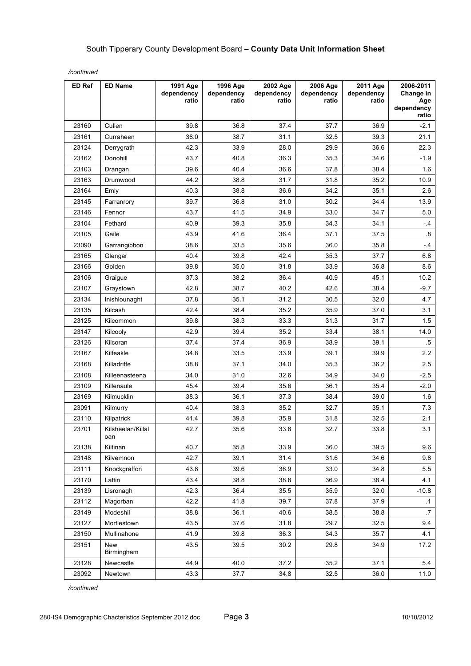| ED Ref | <b>ED Name</b>           | 1991 Age<br>dependency<br>ratio | 1996 Age<br>dependency<br>ratio | 2002 Age<br>dependency<br>ratio | 2006 Age<br>dependency<br>ratio | 2011 Age<br>dependency<br>ratio | 2006-2011<br>Change in<br>Age<br>dependency<br>ratio |
|--------|--------------------------|---------------------------------|---------------------------------|---------------------------------|---------------------------------|---------------------------------|------------------------------------------------------|
| 23160  | Cullen                   | 39.8                            | 36.8                            | 37.4                            | 37.7                            | 36.9                            | $-2.1$                                               |
| 23161  | Curraheen                | 38.0                            | 38.7                            | 31.1                            | 32.5                            | 39.3                            | 21.1                                                 |
| 23124  | Derrygrath               | 42.3                            | 33.9                            | 28.0                            | 29.9                            | 36.6                            | 22.3                                                 |
| 23162  | Donohill                 | 43.7                            | 40.8                            | 36.3                            | 35.3                            | 34.6                            | $-1.9$                                               |
| 23103  | Drangan                  | 39.6                            | 40.4                            | 36.6                            | 37.8                            | 38.4                            | 1.6                                                  |
| 23163  | Drumwood                 | 44.2                            | 38.8                            | 31.7                            | 31.8                            | 35.2                            | 10.9                                                 |
| 23164  | Emly                     | 40.3                            | 38.8                            | 36.6                            | 34.2                            | 35.1                            | 2.6                                                  |
| 23145  | Farranrory               | 39.7                            | 36.8                            | 31.0                            | 30.2                            | 34.4                            | 13.9                                                 |
| 23146  | Fennor                   | 43.7                            | 41.5                            | 34.9                            | 33.0                            | 34.7                            | 5.0                                                  |
| 23104  | Fethard                  | 40.9                            | 39.3                            | 35.8                            | 34.3                            | 34.1                            | - 4                                                  |
| 23105  | Gaile                    | 43.9                            | 41.6                            | 36.4                            | 37.1                            | 37.5                            | 8.5                                                  |
| 23090  | Garrangibbon             | 38.6                            | 33.5                            | 35.6                            | 36.0                            | 35.8                            | $-4$                                                 |
| 23165  | Glengar                  | 40.4                            | 39.8                            | 42.4                            | 35.3                            | 37.7                            | 6.8                                                  |
| 23166  | Golden                   | 39.8                            | 35.0                            | 31.8                            | 33.9                            | 36.8                            | 8.6                                                  |
| 23106  | Graigue                  | 37.3                            | 38.2                            | 36.4                            | 40.9                            | 45.1                            | 10.2                                                 |
| 23107  | Graystown                | 42.8                            | 38.7                            | 40.2                            | 42.6                            | 38.4                            | $-9.7$                                               |
| 23134  | Inishlounaght            | 37.8                            | 35.1                            | 31.2                            | 30.5                            | 32.0                            | 4.7                                                  |
| 23135  | Kilcash                  | 42.4                            | 38.4                            | 35.2                            | 35.9                            | 37.0                            | 3.1                                                  |
| 23125  | Kilcommon                | 39.8                            | 38.3                            | 33.3                            | 31.3                            | 31.7                            | 1.5                                                  |
| 23147  | Kilcooly                 | 42.9                            | 39.4                            | 35.2                            | 33.4                            | 38.1                            | 14.0                                                 |
| 23126  | Kilcoran                 | 37.4                            | 37.4                            | 36.9                            | 38.9                            | 39.1                            | $5^{\circ}$                                          |
| 23167  | Kilfeakle                | 34.8                            | 33.5                            | 33.9                            | 39.1                            | 39.9                            | 2.2                                                  |
| 23168  | Killadriffe              | 38.8                            | 37.1                            | 34.0                            | 35.3                            | 36.2                            | 2.5                                                  |
| 23108  | Killeenasteena           | 34.0                            | 31.0                            | 32.6                            | 34.9                            | 34.0                            | $-2.5$                                               |
| 23109  | Killenaule               | 45.4                            | 39.4                            | 35.6                            | 36.1                            | 35.4                            | $-2.0$                                               |
| 23169  | Kilmucklin               | 38.3                            | 36.1                            | 37.3                            | 38.4                            | 39.0                            | 1.6                                                  |
| 23091  | Kilmurry                 | 40.4                            | 38.3                            | 35.2                            | 32.7                            | 35.1                            | 7.3                                                  |
| 23110  | Kilpatrick               | 41.4                            | 39.8                            | 35.9                            | 31.8                            | 32.5                            | 2.1                                                  |
| 23701  | Kilsheelan/Killal<br>oan | 42.7                            | 35.6                            | 33.8                            | 32.7                            | 33.8                            | 3.1                                                  |
| 23138  | Kiltinan                 | 40.7                            | 35.8                            | 33.9                            | 36.0                            | 39.5                            | 9.6                                                  |
| 23148  | Kilvemnon                | 42.7                            | 39.1                            | 31.4                            | 31.6                            | 34.6                            | 9.8                                                  |
| 23111  | Knockgraffon             | 43.8                            | 39.6                            | 36.9                            | 33.0                            | 34.8                            | 5.5                                                  |
| 23170  | Lattin                   | 43.4                            | 38.8                            | 38.8                            | 36.9                            | 38.4                            | 4.1                                                  |
| 23139  | Lisronagh                | 42.3                            | 36.4                            | 35.5                            | 35.9                            | 32.0                            | $-10.8$                                              |
| 23112  | Magorban                 | 42.2                            | 41.8                            | 39.7                            | 37.8                            | 37.9                            | $\cdot$ 1                                            |
| 23149  | Modeshil                 | 38.8                            | 36.1                            | 40.6                            | 38.5                            | 38.8                            | $\cdot$ 7                                            |
| 23127  | Mortlestown              | 43.5                            | 37.6                            | 31.8                            | 29.7                            | 32.5                            | 9.4                                                  |
| 23150  | Mullinahone              | 41.9                            | 39.8                            | 36.3                            | 34.3                            | 35.7                            | 4.1                                                  |
| 23151  | <b>New</b><br>Birmingham | 43.5                            | 39.5                            | 30.2                            | 29.8                            | 34.9                            | 17.2                                                 |
| 23128  | Newcastle                | 44.9                            | 40.0                            | 37.2                            | 35.2                            | 37.1                            | 5.4                                                  |
| 23092  | Newtown                  | 43.3                            | 37.7                            | 34.8                            | 32.5                            | 36.0                            | 11.0                                                 |

*/continued*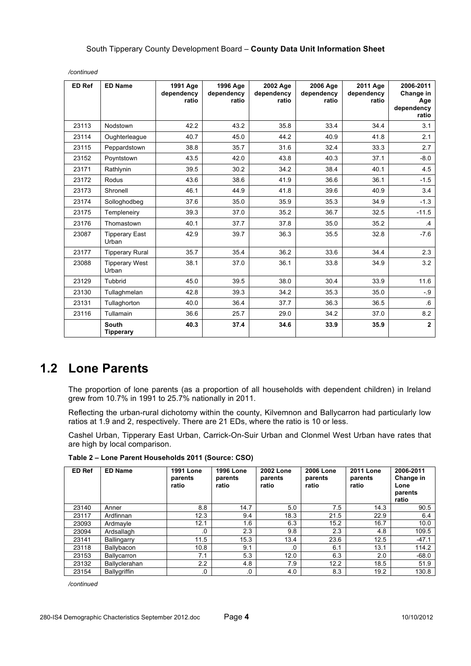| ED Ref | <b>ED Name</b>                   | 1991 Age<br>dependency<br>ratio | 1996 Age<br>dependency<br>ratio | 2002 Age<br>dependency<br>ratio | 2006 Age<br>dependency<br>ratio | 2011 Age<br>dependency<br>ratio | 2006-2011<br>Change in<br>Age<br>dependency<br>ratio |
|--------|----------------------------------|---------------------------------|---------------------------------|---------------------------------|---------------------------------|---------------------------------|------------------------------------------------------|
| 23113  | Nodstown                         | 42.2                            | 43.2                            | 35.8                            | 33.4                            | 34.4                            | 3.1                                                  |
| 23114  | Oughterleague                    | 40.7                            | 45.0                            | 44.2                            | 40.9                            | 41.8                            | 2.1                                                  |
| 23115  | Peppardstown                     | 38.8                            | 35.7                            | 31.6                            | 32.4                            | 33.3                            | 2.7                                                  |
| 23152  | Poyntstown                       | 43.5                            | 42.0                            | 43.8                            | 40.3                            | 37.1                            | $-8.0$                                               |
| 23171  | Rathlynin                        | 39.5                            | 30.2                            | 34.2                            | 38.4                            | 40.1                            | 4.5                                                  |
| 23172  | Rodus                            | 43.6                            | 38.6                            | 41.9                            | 36.6                            | 36.1                            | $-1.5$                                               |
| 23173  | Shronell                         | 46.1                            | 44.9                            | 41.8                            | 39.6                            | 40.9                            | 3.4                                                  |
| 23174  | Solloghodbeg                     | 37.6                            | 35.0                            | 35.9                            | 35.3                            | 34.9                            | $-1.3$                                               |
| 23175  | Templeneiry                      | 39.3                            | 37.0                            | 35.2                            | 36.7                            | 32.5                            | $-11.5$                                              |
| 23176  | Thomastown                       | 40.1                            | 37.7                            | 37.8                            | 35.0                            | 35.2                            | $\cdot$                                              |
| 23087  | <b>Tipperary East</b><br>Urban   | 42.9                            | 39.7                            | 36.3                            | 35.5                            | 32.8                            | $-7.6$                                               |
| 23177  | <b>Tipperary Rural</b>           | 35.7                            | 35.4                            | 36.2                            | 33.6                            | 34.4                            | 2.3                                                  |
| 23088  | <b>Tipperary West</b><br>Urban   | 38.1                            | 37.0                            | 36.1                            | 33.8                            | 34.9                            | 3.2                                                  |
| 23129  | Tubbrid                          | 45.0                            | 39.5                            | 38.0                            | 30.4                            | 33.9                            | 11.6                                                 |
| 23130  | Tullaghmelan                     | 42.8                            | 39.3                            | 34.2                            | 35.3                            | 35.0                            | $-9$                                                 |
| 23131  | Tullaghorton                     | 40.0                            | 36.4                            | 37.7                            | 36.3                            | 36.5                            | .6                                                   |
| 23116  | <b>Tullamain</b>                 | 36.6                            | 25.7                            | 29.0                            | 34.2                            | 37.0                            | 8.2                                                  |
|        | <b>South</b><br><b>Tipperary</b> | 40.3                            | 37.4                            | 34.6                            | 33.9                            | 35.9                            | $\overline{2}$                                       |

*/continued*

### **1.2 Lone Parents**

The proportion of lone parents (as a proportion of all households with dependent children) in Ireland grew from 10.7% in 1991 to 25.7% nationally in 2011.

Reflecting the urban-rural dichotomy within the county, Kilvemnon and Ballycarron had particularly low ratios at 1.9 and 2, respectively. There are 21 EDs, where the ratio is 10 or less.

Cashel Urban, Tipperary East Urban, Carrick-On-Suir Urban and Clonmel West Urban have rates that are high by local comparison.

| <b>ED Ref</b> | <b>ED Name</b>       | <b>1991 Lone</b><br>parents<br>ratio | <b>1996 Lone</b><br>parents<br>ratio | <b>2002 Lone</b><br>parents<br>ratio | <b>2006 Lone</b><br>parents<br>ratio | <b>2011 Lone</b><br>parents<br>ratio | 2006-2011<br>Change in<br>Lone<br>parents<br>ratio |
|---------------|----------------------|--------------------------------------|--------------------------------------|--------------------------------------|--------------------------------------|--------------------------------------|----------------------------------------------------|
| 23140         | Anner                | 8.8                                  | 14.7                                 | 5.0                                  | 7.5                                  | 14.3                                 | 90.5                                               |
| 23117         | Ardfinnan            | 12.3                                 | 9.4                                  | 18.3                                 | 21.5                                 | 22.9                                 | 6.4                                                |
| 23093         | Ardmayle             | 12.1                                 | 1.6                                  | 6.3                                  | 15.2                                 | 16.7                                 | 10.0                                               |
| 23094         | Ardsallagh           | .0                                   | 2.3                                  | 9.8                                  | 2.3                                  | 4.8                                  | 109.5                                              |
| 23141         | Ballingarry          | 11.5                                 | 15.3                                 | 13.4                                 | 23.6                                 | 12.5                                 | $-47.1$                                            |
| 23118         | Ballybacon           | 10.8                                 | 9.1                                  | 0.                                   | 6.1                                  | 13.1                                 | 114.2                                              |
| 23153         | <b>Ballvcarron</b>   | 7.1                                  | 5.3                                  | 12.0                                 | 6.3                                  | 2.0                                  | $-68.0$                                            |
| 23132         | <b>Ballvclerahan</b> | 2.2                                  | 4.8                                  | 7.9                                  | 12.2                                 | 18.5                                 | 51.9                                               |
| 23154         | <b>Ballygriffin</b>  | .0                                   | $\cdot$                              | 4.0                                  | 8.3                                  | 19.2                                 | 130.8                                              |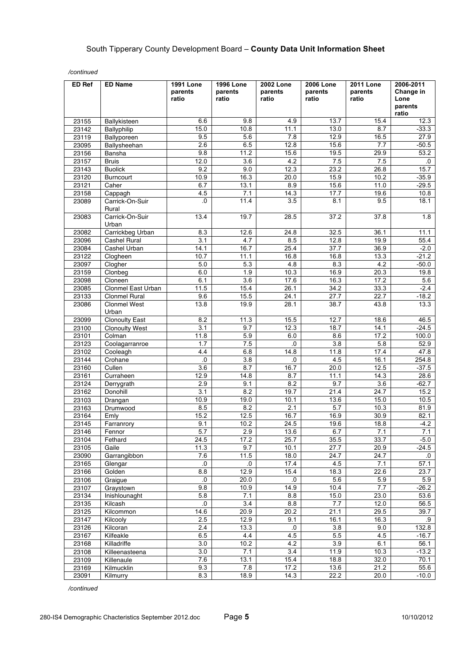| 15.4<br>6.6<br>9.8<br>4.9<br>13.7<br>23155<br>Ballykisteen<br>15.0<br>10.8<br>11.1<br>13.0<br>8.7<br>23142<br>Ballyphilip<br>9.5<br>5.6<br>12.9<br>23119<br>7.8<br>16.5<br>Ballyporeen<br>2.6<br>12.8<br>15.6<br>7.7<br>23095<br>Ballysheehan<br>6.5<br>23156<br>9.8<br>11.2<br>15.6<br>19.5<br>29.9<br>Bansha<br>12.0<br>3.6<br>4.2<br>7.5<br>7.5<br>23157<br><b>Bruis</b><br>9.2<br>9.0<br>12.3<br>23.2<br>26.8<br>23143<br><b>Buolick</b><br>10.9<br>15.9<br>10.2<br>16.3<br>20.0<br>23120<br>Burncourt<br>6.7<br>13.1<br>8.9<br>15.6<br>11.0<br>23121<br>Caher | Change in<br>Lone<br>parents<br>ratio |
|--------------------------------------------------------------------------------------------------------------------------------------------------------------------------------------------------------------------------------------------------------------------------------------------------------------------------------------------------------------------------------------------------------------------------------------------------------------------------------------------------------------------------------------------------------------------|---------------------------------------|
|                                                                                                                                                                                                                                                                                                                                                                                                                                                                                                                                                                    | 12.3                                  |
|                                                                                                                                                                                                                                                                                                                                                                                                                                                                                                                                                                    | $-33.3$                               |
|                                                                                                                                                                                                                                                                                                                                                                                                                                                                                                                                                                    | 27.9                                  |
|                                                                                                                                                                                                                                                                                                                                                                                                                                                                                                                                                                    | $-50.5$                               |
|                                                                                                                                                                                                                                                                                                                                                                                                                                                                                                                                                                    | 53.2                                  |
|                                                                                                                                                                                                                                                                                                                                                                                                                                                                                                                                                                    | $.0 \,$                               |
|                                                                                                                                                                                                                                                                                                                                                                                                                                                                                                                                                                    | 15.7                                  |
|                                                                                                                                                                                                                                                                                                                                                                                                                                                                                                                                                                    | $-35.9$                               |
|                                                                                                                                                                                                                                                                                                                                                                                                                                                                                                                                                                    | $-29.5$                               |
| 4.5<br>14.3<br>17.7<br>19.6<br>7.1<br>23158<br>Cappagh                                                                                                                                                                                                                                                                                                                                                                                                                                                                                                             | 10.8                                  |
| $\overline{0}$ .<br>11.4<br>23089<br>Carrick-On-Suir<br>3.5<br>8.1<br>9.5<br>Rural                                                                                                                                                                                                                                                                                                                                                                                                                                                                                 | 18.1                                  |
| Carrick-On-Suir<br>13.4<br>19.7<br>28.5<br>37.2<br>37.8<br>23083<br>Urban                                                                                                                                                                                                                                                                                                                                                                                                                                                                                          | 1.8                                   |
| 12.6<br>24.8<br>32.5<br>23082<br>Carrickbeg Urban<br>8.3<br>36.1                                                                                                                                                                                                                                                                                                                                                                                                                                                                                                   | 11.1                                  |
| 23096<br>Cashel Rural<br>12.8<br>19.9<br>3.1<br>4.7<br>8.5                                                                                                                                                                                                                                                                                                                                                                                                                                                                                                         | 55.4                                  |
| 14.1<br>25.4<br>36.9<br>16.7<br>37.7<br>23084<br>Cashel Urban                                                                                                                                                                                                                                                                                                                                                                                                                                                                                                      | $-2.0$                                |
| 10.7<br>11.1<br>16.8<br>16.8<br>13.3<br>23122<br>Clogheen                                                                                                                                                                                                                                                                                                                                                                                                                                                                                                          | $-21.2$                               |
| 4.8<br>8.3<br>4.2<br>23097<br>Clogher<br>5.0<br>5.3                                                                                                                                                                                                                                                                                                                                                                                                                                                                                                                | $-50.0$                               |
| 1.9<br>23159<br>Clonbeg<br>6.0<br>10.3<br>16.9<br>20.3                                                                                                                                                                                                                                                                                                                                                                                                                                                                                                             | 19.8                                  |
| 3.6<br>17.6<br>16.3<br>17.2<br>23098<br>Cloneen<br>6.1                                                                                                                                                                                                                                                                                                                                                                                                                                                                                                             | 5.6                                   |
| Clonmel East Urban<br>23085<br>11.5<br>15.4<br>26.1<br>34.2<br>33.3                                                                                                                                                                                                                                                                                                                                                                                                                                                                                                | $-2.4$                                |
| 22.7<br>9.6<br>15.5<br>24.1<br>27.7<br>23133<br><b>Clonmel Rural</b>                                                                                                                                                                                                                                                                                                                                                                                                                                                                                               | $-18.2$                               |
| 13.8<br>19.9<br>28.1<br>38.7<br>43.8<br><b>Clonmel West</b><br>23086<br>Urban                                                                                                                                                                                                                                                                                                                                                                                                                                                                                      | 13.3                                  |
| 8.2<br>11.3<br>15.5<br>12.7<br>18.6<br><b>Clonoulty East</b><br>23099                                                                                                                                                                                                                                                                                                                                                                                                                                                                                              | 46.5                                  |
| 3.1<br>9.7<br>12.3<br>18.7<br>14.1<br>23100<br><b>Clonoulty West</b>                                                                                                                                                                                                                                                                                                                                                                                                                                                                                               | $-24.5$                               |
| 17.2<br>Colman<br>11.8<br>5.9<br>6.0<br>8.6<br>23101                                                                                                                                                                                                                                                                                                                                                                                                                                                                                                               | 100.0                                 |
| $\overline{3.8}$<br>5.8<br>1.7<br>7.5<br>0.<br>23123<br>Coolagarranroe                                                                                                                                                                                                                                                                                                                                                                                                                                                                                             | 52.9                                  |
| 17.4<br>4.4<br>6.8<br>14.8<br>11.8<br>23102<br>Cooleagh                                                                                                                                                                                                                                                                                                                                                                                                                                                                                                            | 47.8                                  |
| 16.1<br>23144<br>Crohane<br>0.<br>3.8<br>4.5<br>.0                                                                                                                                                                                                                                                                                                                                                                                                                                                                                                                 | 254.8                                 |
| 12.5<br>23160<br>Cullen<br>3.6<br>8.7<br>16.7<br>20.0                                                                                                                                                                                                                                                                                                                                                                                                                                                                                                              | $-37.5$                               |
| 12.9<br>14.3<br>23161<br>14.8<br>8.7<br>11.1<br>Curraheen                                                                                                                                                                                                                                                                                                                                                                                                                                                                                                          | 28.6                                  |
| 23124<br>2.9<br>8.2<br>9.7<br>3.6<br>Derrygrath<br>9.1                                                                                                                                                                                                                                                                                                                                                                                                                                                                                                             | $-62.7$                               |
| $\overline{3.1}$<br>23162<br>Donohill<br>8.2<br>19.7<br>21.4<br>24.7                                                                                                                                                                                                                                                                                                                                                                                                                                                                                               | 15.2                                  |
| 10.9<br>19.0<br>10.1<br>13.6<br>15.0<br>23103<br>Drangan                                                                                                                                                                                                                                                                                                                                                                                                                                                                                                           | 10.5                                  |
| 2.1<br>8.5<br>8.2<br>5.7<br>10.3<br>23163<br>Drumwood                                                                                                                                                                                                                                                                                                                                                                                                                                                                                                              | 81.9                                  |
| 23164<br>15.2<br>12.5<br>16.7<br>16.9<br>30.9<br>Emly                                                                                                                                                                                                                                                                                                                                                                                                                                                                                                              | 82.1                                  |
| 10.2<br>24.5<br>19.6<br>18.8<br>23145<br>9.1<br>Farranrory<br>5.7<br>2.9<br>7.1<br>23146<br>13.6<br>6.7                                                                                                                                                                                                                                                                                                                                                                                                                                                            | $-4.2$<br>7.1                         |
| Fennor<br>24.5<br>25.7<br>33.7<br>17.2<br>35.5<br>23104<br>Fethard                                                                                                                                                                                                                                                                                                                                                                                                                                                                                                 | $-5.0$                                |
| 11.3<br>9.7<br>10.1<br>27.7<br>20.9<br>23105<br>Gaile                                                                                                                                                                                                                                                                                                                                                                                                                                                                                                              | $-24.5$                               |
| 7.6<br>11.5<br>18.0<br>24.7<br>24.7<br>23090<br>Garrangibbon                                                                                                                                                                                                                                                                                                                                                                                                                                                                                                       | $\cdot$                               |
| 17.4<br>23165<br>0.<br>4.5<br>7.1<br>Glengar<br>.0                                                                                                                                                                                                                                                                                                                                                                                                                                                                                                                 | 57.1                                  |
| 15.4<br>22.6<br>8.8<br>12.9<br>18.3<br>23166<br>Golden                                                                                                                                                                                                                                                                                                                                                                                                                                                                                                             | 23.7                                  |
| 5.9<br>23106<br>Graigue<br>$\cdot$<br>20.0<br>$\cdot$ 0.<br>5.6                                                                                                                                                                                                                                                                                                                                                                                                                                                                                                    | 5.9                                   |
| 14.9<br>23107<br>9.8<br>10.9<br>10.4<br>7.7<br>Graystown                                                                                                                                                                                                                                                                                                                                                                                                                                                                                                           | $-26.2$                               |
| 5.8<br>7.1<br>8.8<br>15.0<br>23.0<br>23134<br>Inishlounaght                                                                                                                                                                                                                                                                                                                                                                                                                                                                                                        | 53.6                                  |
| 8.8<br>12.0<br>$\overline{\mathbf{0}}$<br>3.4<br>7.7<br>23135<br>Kilcash                                                                                                                                                                                                                                                                                                                                                                                                                                                                                           | 56.5                                  |
| 29.5<br>23125<br>Kilcommon<br>14.6<br>20.9<br>20.2<br>21.1                                                                                                                                                                                                                                                                                                                                                                                                                                                                                                         | 39.7                                  |
| 16.3<br>2.5<br>12.9<br>9.1<br>16.1<br>23147<br>Kilcooly                                                                                                                                                                                                                                                                                                                                                                                                                                                                                                            | .9                                    |
| 9.0<br>2.4<br>13.3<br>$\cdot$ 0<br>3.8<br>23126<br>Kilcoran                                                                                                                                                                                                                                                                                                                                                                                                                                                                                                        | 132.8                                 |
| 23167<br>Kilfeakle<br>6.5<br>4.4<br>4.5<br>4.5<br>5.5                                                                                                                                                                                                                                                                                                                                                                                                                                                                                                              | $-16.7$                               |
| 3.0<br>23168<br>4.2<br>3.9<br>6.1<br>Killadriffe<br>10.2                                                                                                                                                                                                                                                                                                                                                                                                                                                                                                           | 56.1                                  |
| $\overline{3.4}$<br>10.3<br>3.0<br>7.1<br>11.9<br>23108<br>Killeenasteena                                                                                                                                                                                                                                                                                                                                                                                                                                                                                          | $-13.2$                               |
| 32.0<br>7.6<br>13.1<br>15.4<br>18.8<br>23109<br>Killenaule                                                                                                                                                                                                                                                                                                                                                                                                                                                                                                         | 70.1                                  |
| 21.2<br>23169<br>Kilmucklin<br>9.3<br>7.8<br>17.2<br>13.6                                                                                                                                                                                                                                                                                                                                                                                                                                                                                                          | 55.6                                  |
| 23091<br>8.3<br>18.9<br>14.3<br>22.2<br>20.0<br>Kilmurry                                                                                                                                                                                                                                                                                                                                                                                                                                                                                                           | $-10.0$                               |

*/continued*